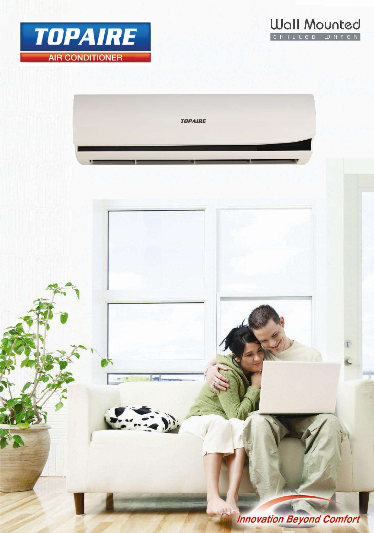





**Innovation Beyond Comfort**